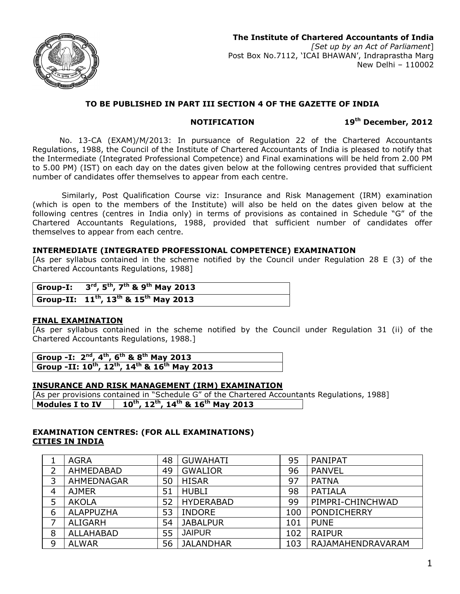

# **TO BE PUBLISHED IN PART III SECTION 4 OF THE GAZETTE OF INDIA**

**NOTIFICATION 19th December, 2012**

No. 13-CA (EXAM)/M/2013: In pursuance of Regulation 22 of the Chartered Accountants Regulations, 1988, the Council of the Institute of Chartered Accountants of India is pleased to notify that the Intermediate (Integrated Professional Competence) and Final examinations will be held from 2.00 PM to 5.00 PM) (IST) on each day on the dates given below at the following centres provided that sufficient number of candidates offer themselves to appear from each centre.

Similarly, Post Qualification Course viz: Insurance and Risk Management (IRM) examination (which is open to the members of the Institute) will also be held on the dates given below at the following centres (centres in India only) in terms of provisions as contained in Schedule "G" of the Chartered Accountants Regulations, 1988, provided that sufficient number of candidates offer themselves to appear from each centre.

## **INTERMEDIATE (INTEGRATED PROFESSIONAL COMPETENCE) EXAMINATION**

[As per syllabus contained in the scheme notified by the Council under Regulation 28 E (3) of the Chartered Accountants Regulations, 1988]

| Group-I: $3^{\text{rd}}$ , $5^{\text{th}}$ , $7^{\text{th}}$ & $9^{\text{th}}$ May 2013 |
|-----------------------------------------------------------------------------------------|
| Group-II: $11^{th}$ , $13^{th}$ & $15^{th}$ May 2013                                    |

### **FINAL EXAMINATION**

[As per syllabus contained in the scheme notified by the Council under Regulation 31 (ii) of the Chartered Accountants Regulations, 1988.]

| Group -I: $2^{nd}$ , $4^{th}$ , $6^{th}$ & $8^{th}$ May 2013                                  |  |
|-----------------------------------------------------------------------------------------------|--|
| Group -II: 10 <sup>th</sup> , 12 <sup>th</sup> , 14 <sup>th</sup> & 16 <sup>th</sup> May 2013 |  |

### **INSURANCE AND RISK MANAGEMENT (IRM) EXAMINATION**

[As per provisions contained in "Schedule G" of the Chartered Accountants Regulations, 1988] **Modules I to IV 10 th, 12 th, 14 th & 16 th May 2013**

## **EXAMINATION CENTRES: (FOR ALL EXAMINATIONS) CITIES IN INDIA**

|   | <b>AGRA</b>      | 48 | <b>GUWAHATI</b>  | 95  | PANIPAT            |
|---|------------------|----|------------------|-----|--------------------|
|   | AHMEDABAD        | 49 | <b>GWALIOR</b>   | 96  | <b>PANVEL</b>      |
| 3 | AHMEDNAGAR       | 50 | <b>HISAR</b>     | 97  | <b>PATNA</b>       |
| 4 | <b>AJMER</b>     | 51 | <b>HUBLI</b>     | 98  | <b>PATIALA</b>     |
|   | <b>AKOLA</b>     | 52 | <b>HYDERABAD</b> | 99  | PIMPRI-CHINCHWAD   |
| 6 | <b>ALAPPUZHA</b> | 53 | <b>INDORE</b>    | 100 | <b>PONDICHERRY</b> |
|   | <b>ALIGARH</b>   | 54 | <b>JABALPUR</b>  | 101 | <b>PUNE</b>        |
| 8 | <b>ALLAHABAD</b> | 55 | <b>JAIPUR</b>    | 102 | <b>RAIPUR</b>      |
| 9 | <b>ALWAR</b>     | 56 | <b>JALANDHAR</b> | 103 | RAJAMAHENDRAVARAM  |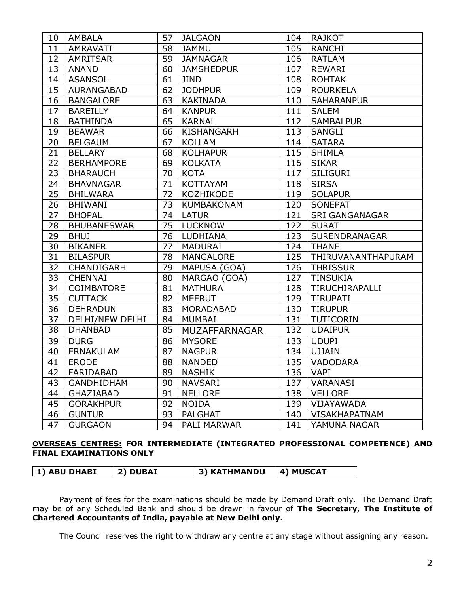| 10 | AMBALA             | 57 | <b>JALGAON</b>       | 104 | RAJKOT                |
|----|--------------------|----|----------------------|-----|-----------------------|
| 11 | AMRAVATI           | 58 | <b>JAMMU</b>         | 105 | <b>RANCHI</b>         |
| 12 | <b>AMRITSAR</b>    | 59 | <b>JAMNAGAR</b>      | 106 | <b>RATLAM</b>         |
| 13 | <b>ANAND</b>       | 60 | <b>JAMSHEDPUR</b>    | 107 | <b>REWARI</b>         |
| 14 | <b>ASANSOL</b>     | 61 | <b>JIND</b>          | 108 | <b>ROHTAK</b>         |
| 15 | AURANGABAD         | 62 | <b>JODHPUR</b>       | 109 | <b>ROURKELA</b>       |
| 16 | <b>BANGALORE</b>   | 63 | <b>KAKINADA</b>      | 110 | <b>SAHARANPUR</b>     |
| 17 | <b>BAREILLY</b>    | 64 | <b>KANPUR</b>        | 111 | <b>SALEM</b>          |
| 18 | <b>BATHINDA</b>    | 65 | <b>KARNAL</b>        | 112 | <b>SAMBALPUR</b>      |
| 19 | <b>BEAWAR</b>      | 66 | <b>KISHANGARH</b>    | 113 | <b>SANGLI</b>         |
| 20 | <b>BELGAUM</b>     | 67 | <b>KOLLAM</b>        | 114 | <b>SATARA</b>         |
| 21 | <b>BELLARY</b>     | 68 | <b>KOLHAPUR</b>      | 115 | <b>SHIMLA</b>         |
| 22 | <b>BERHAMPORE</b>  | 69 | <b>KOLKATA</b>       | 116 | <b>SIKAR</b>          |
| 23 | <b>BHARAUCH</b>    | 70 | <b>KOTA</b>          | 117 | <b>SILIGURI</b>       |
| 24 | <b>BHAVNAGAR</b>   | 71 | <b>KOTTAYAM</b>      | 118 | <b>SIRSA</b>          |
| 25 | <b>BHILWARA</b>    | 72 | <b>KOZHIKODE</b>     | 119 | <b>SOLAPUR</b>        |
| 26 | <b>BHIWANI</b>     | 73 | <b>KUMBAKONAM</b>    | 120 | <b>SONEPAT</b>        |
| 27 | <b>BHOPAL</b>      | 74 | <b>LATUR</b>         | 121 | <b>SRI GANGANAGAR</b> |
| 28 | <b>BHUBANESWAR</b> | 75 | <b>LUCKNOW</b>       | 122 | <b>SURAT</b>          |
| 29 | <b>BHUJ</b>        | 76 | LUDHIANA             | 123 | SURENDRANAGAR         |
| 30 | <b>BIKANER</b>     | 77 | <b>MADURAI</b>       | 124 | <b>THANE</b>          |
| 31 | <b>BILASPUR</b>    | 78 | <b>MANGALORE</b>     | 125 | THIRUVANANTHAPURAM    |
| 32 | CHANDIGARH         | 79 | MAPUSA (GOA)         | 126 | <b>THRISSUR</b>       |
| 33 | <b>CHENNAI</b>     | 80 | MARGAO (GOA)         | 127 | <b>TINSUKIA</b>       |
| 34 | <b>COIMBATORE</b>  | 81 | <b>MATHURA</b>       | 128 | TIRUCHIRAPALLI        |
| 35 | <b>CUTTACK</b>     | 82 | <b>MEERUT</b>        | 129 | <b>TIRUPATI</b>       |
| 36 | <b>DEHRADUN</b>    | 83 | <b>MORADABAD</b>     | 130 | <b>TIRUPUR</b>        |
| 37 | DELHI/NEW DELHI    | 84 | <b>MUMBAI</b>        | 131 | <b>TUTICORIN</b>      |
| 38 | <b>DHANBAD</b>     | 85 | <b>MUZAFFARNAGAR</b> | 132 | <b>UDAIPUR</b>        |
| 39 | <b>DURG</b>        | 86 | <b>MYSORE</b>        | 133 | <b>UDUPI</b>          |
| 40 | <b>ERNAKULAM</b>   | 87 | <b>NAGPUR</b>        | 134 | <b>UJJAIN</b>         |
| 41 | <b>ERODE</b>       | 88 | <b>NANDED</b>        | 135 | VADODARA              |
| 42 | FARIDABAD          | 89 | <b>NASHIK</b>        | 136 | <b>VAPI</b>           |
| 43 | <b>GANDHIDHAM</b>  | 90 | <b>NAVSARI</b>       | 137 | <b>VARANASI</b>       |
| 44 | <b>GHAZIABAD</b>   | 91 | <b>NELLORE</b>       | 138 | <b>VELLORE</b>        |
| 45 | <b>GORAKHPUR</b>   | 92 | <b>NOIDA</b>         | 139 | VIJAYAWADA            |
| 46 | <b>GUNTUR</b>      | 93 | <b>PALGHAT</b>       | 140 | <b>VISAKHAPATNAM</b>  |
| 47 | <b>GURGAON</b>     | 94 | PALI MARWAR          | 141 | YAMUNA NAGAR          |

# **OVERSEAS CENTRES: FOR INTERMEDIATE (INTEGRATED PROFESSIONAL COMPETENCE) AND FINAL EXAMINATIONS ONLY**

| 1) ABU DHABI | 2) DUBAI | 3) KATHMANDU | 4) MUSCAT |
|--------------|----------|--------------|-----------|
|              |          |              |           |

Payment of fees for the examinations should be made by Demand Draft only. The Demand Draft may be of any Scheduled Bank and should be drawn in favour of **The Secretary, The Institute of Chartered Accountants of India, payable at New Delhi only.**

The Council reserves the right to withdraw any centre at any stage without assigning any reason.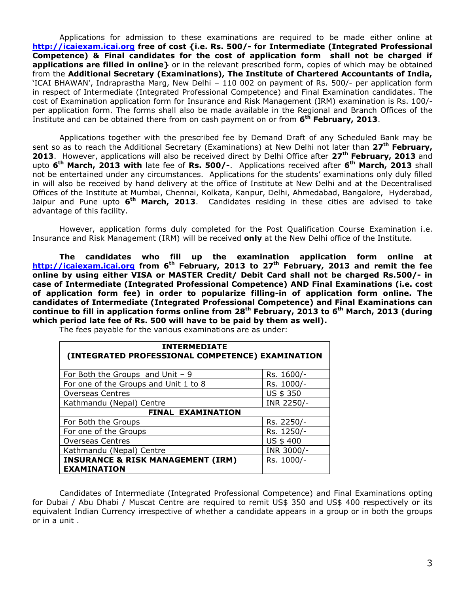Applications for admission to these examinations are required to be made either online at **http://icaiexam.icai.org free of cost {i.e. Rs. 500/- for Intermediate (Integrated Professional Competence) & Final candidates for the cost of application form shall not be charged if applications are filled in online}** or in the relevant prescribed form, copies of which may be obtained from the **Additional Secretary (Examinations), The Institute of Chartered Accountants of India,** 'ICAI BHAWAN', Indraprastha Marg, New Delhi – 110 002 on payment of Rs. 500/- per application form in respect of Intermediate (Integrated Professional Competence) and Final Examination candidates. The cost of Examination application form for Insurance and Risk Management (IRM) examination is Rs. 100/ per application form. The forms shall also be made available in the Regional and Branch Offices of the Institute and can be obtained there from on cash payment on or from **6 th February, 2013**.

Applications together with the prescribed fee by Demand Draft of any Scheduled Bank may be sent so as to reach the Additional Secretary (Examinations) at New Delhi not later than **27 th February, 2013**. However, applications will also be received direct by Delhi Office after **27 th February, 2013** and upto **6 th March, 2013 with** late fee of **Rs. 500/-**. Applications received after **6 th March, 2013** shall not be entertained under any circumstances. Applications for the students' examinations only duly filled in will also be received by hand delivery at the office of Institute at New Delhi and at the Decentralised Offices of the Institute at Mumbai, Chennai, Kolkata, Kanpur, Delhi, Ahmedabad, Bangalore, Hyderabad, Jaipur and Pune upto **6 th March, 2013**. Candidates residing in these cities are advised to take advantage of this facility.

However, application forms duly completed for the Post Qualification Course Examination i.e. Insurance and Risk Management (IRM) will be received **only** at the New Delhi office of the Institute.

**The candidates who fill up the examination application form online at http://icaiexam.icai.org from 6 th February, 2013 to 27 th February, 2013 and remit the fee online by using either VISA or MASTER Credit/ Debit Card shall not be charged Rs.500/- in case of Intermediate (Integrated Professional Competence) AND Final Examinations (i.e. cost of application form fee) in order to popularize filling-in of application form online. The candidates of Intermediate (Integrated Professional Competence) and Final Examinations can continue to fill in application forms online from 28th February, 2013 to 6 th March, 2013 (during which period late fee of Rs. 500 will have to be paid by them as well).**

The fees payable for the various examinations are as under:

| <b>INTERMEDIATE</b><br>(INTEGRATED PROFESSIONAL COMPETENCE) EXAMINATION |            |  |  |  |  |
|-------------------------------------------------------------------------|------------|--|--|--|--|
| For Both the Groups and Unit $-9$                                       | Rs. 1600/- |  |  |  |  |
| For one of the Groups and Unit 1 to 8                                   | Rs. 1000/- |  |  |  |  |
| <b>Overseas Centres</b>                                                 | US \$ 350  |  |  |  |  |
| Kathmandu (Nepal) Centre                                                | INR 2250/- |  |  |  |  |
| <b>FINAL EXAMINATION</b>                                                |            |  |  |  |  |
| For Both the Groups                                                     | Rs. 2250/- |  |  |  |  |
| For one of the Groups                                                   | Rs. 1250/- |  |  |  |  |
| <b>Overseas Centres</b>                                                 | US \$400   |  |  |  |  |
| Kathmandu (Nepal) Centre                                                | INR 3000/- |  |  |  |  |
| <b>INSURANCE &amp; RISK MANAGEMENT (IRM)</b><br><b>EXAMINATION</b>      | Rs. 1000/- |  |  |  |  |

Candidates of Intermediate (Integrated Professional Competence) and Final Examinations opting for Dubai / Abu Dhabi / Muscat Centre are required to remit US\$ 350 and US\$ 400 respectively or its equivalent Indian Currency irrespective of whether a candidate appears in a group or in both the groups or in a unit .